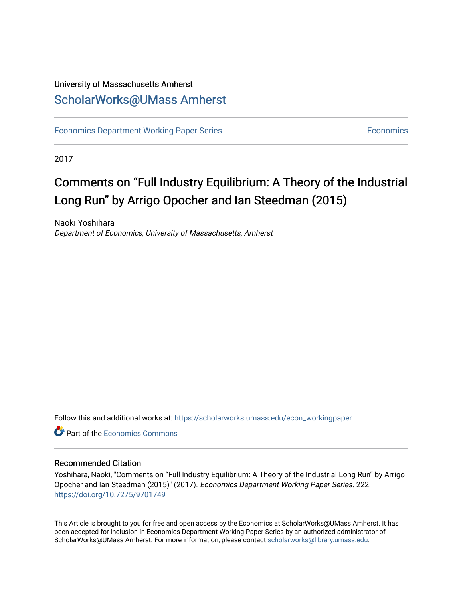## University of Massachusetts Amherst [ScholarWorks@UMass Amherst](https://scholarworks.umass.edu/)

[Economics Department Working Paper Series](https://scholarworks.umass.edu/econ_workingpaper) **Economics** [Economics](https://scholarworks.umass.edu/economics) Economics

2017

## Comments on "Full Industry Equilibrium: A Theory of the Industrial Long Run" by Arrigo Opocher and Ian Steedman (2015)

Naoki Yoshihara Department of Economics, University of Massachusetts, Amherst

Follow this and additional works at: [https://scholarworks.umass.edu/econ\\_workingpaper](https://scholarworks.umass.edu/econ_workingpaper?utm_source=scholarworks.umass.edu%2Fecon_workingpaper%2F222&utm_medium=PDF&utm_campaign=PDFCoverPages) 

**C**<sup> $\bullet$ </sup> Part of the [Economics Commons](http://network.bepress.com/hgg/discipline/340?utm_source=scholarworks.umass.edu%2Fecon_workingpaper%2F222&utm_medium=PDF&utm_campaign=PDFCoverPages)

#### Recommended Citation

Yoshihara, Naoki, "Comments on "Full Industry Equilibrium: A Theory of the Industrial Long Run" by Arrigo Opocher and Ian Steedman (2015)" (2017). Economics Department Working Paper Series. 222. <https://doi.org/10.7275/9701749>

This Article is brought to you for free and open access by the Economics at ScholarWorks@UMass Amherst. It has been accepted for inclusion in Economics Department Working Paper Series by an authorized administrator of ScholarWorks@UMass Amherst. For more information, please contact [scholarworks@library.umass.edu.](mailto:scholarworks@library.umass.edu)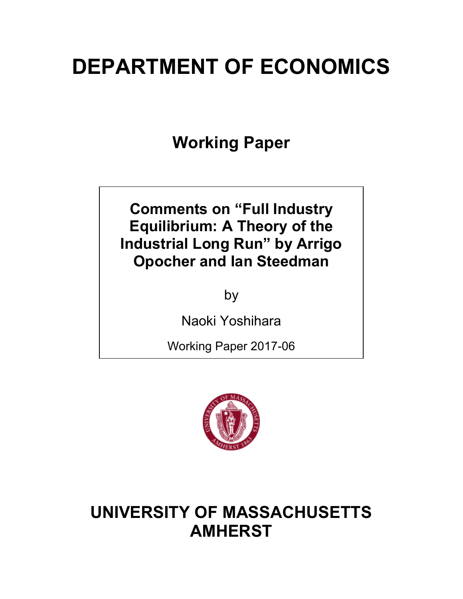# **DEPARTMENT OF ECONOMICS**

**Working Paper**

**Comments on "Full Industry Equilibrium: A Theory of the Industrial Long Run" by Arrigo Opocher and Ian Steedman**

by

Naoki Yoshihara

Working Paper 2017-06



# **UNIVERSITY OF MASSACHUSETTS AMHERST**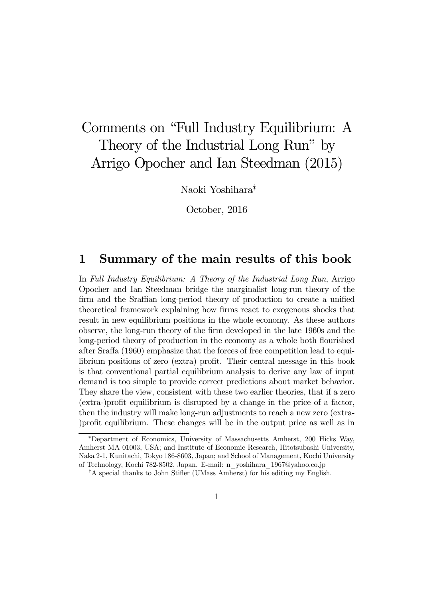# Comments on "Full Industry Equilibrium: A Theory of the Industrial Long Run" by Arrigo Opocher and Ian Steedman (2015)

Naoki Yoshihara∗†

October, 2016

### 1 Summary of the main results of this book

In Full Industry Equilibrium: A Theory of the Industrial Long Run, Arrigo Opocher and Ian Steedman bridge the marginalist long-run theory of the firm and the Sraffian long-period theory of production to create a unified theoretical framework explaining how firms react to exogenous shocks that result in new equilibrium positions in the whole economy. As these authors observe, the long-run theory of the firm developed in the late 1960s and the long-period theory of production in the economy as a whole both flourished after Sraffa (1960) emphasize that the forces of free competition lead to equilibrium positions of zero (extra) profit. Their central message in this book is that conventional partial equilibrium analysis to derive any law of input demand is too simple to provide correct predictions about market behavior. They share the view, consistent with these two earlier theories, that if a zero (extra-)profit equilibrium is disrupted by a change in the price of a factor, then the industry will make long-run adjustments to reach a new zero (extra- )profit equilibrium. These changes will be in the output price as well as in

<sup>∗</sup>Department of Economics, University of Massachusetts Amherst, 200 Hicks Way, Amherst MA 01003, USA; and Institute of Economic Research, Hitotsubashi University, Naka 2-1, Kunitachi, Tokyo 186-8603, Japan; and School of Management, Kochi University of Technology, Kochi 782-8502, Japan. E-mail: n\_yoshihara\_1967@yahoo.co.jp

<sup>†</sup>A special thanks to John Stifler (UMass Amherst) for his editing my English.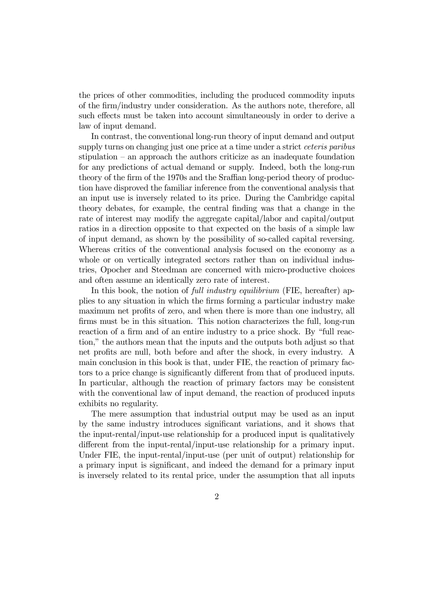the prices of other commodities, including the produced commodity inputs of the firm/industry under consideration. As the authors note, therefore, all such effects must be taken into account simultaneously in order to derive a law of input demand.

In contrast, the conventional long-run theory of input demand and output supply turns on changing just one price at a time under a strict *ceteris paribus* stipulation — an approach the authors criticize as an inadequate foundation for any predictions of actual demand or supply. Indeed, both the long-run theory of the firm of the 1970s and the Sraffian long-period theory of production have disproved the familiar inference from the conventional analysis that an input use is inversely related to its price. During the Cambridge capital theory debates, for example, the central finding was that a change in the rate of interest may modify the aggregate capital/labor and capital/output ratios in a direction opposite to that expected on the basis of a simple law of input demand, as shown by the possibility of so-called capital reversing. Whereas critics of the conventional analysis focused on the economy as a whole or on vertically integrated sectors rather than on individual industries, Opocher and Steedman are concerned with micro-productive choices and often assume an identically zero rate of interest.

In this book, the notion of *full industry equilibrium* (FIE, hereafter) applies to any situation in which the firms forming a particular industry make maximum net profits of zero, and when there is more than one industry, all firms must be in this situation. This notion characterizes the full, long-run reaction of a firm and of an entire industry to a price shock. By "full reaction," the authors mean that the inputs and the outputs both adjust so that net profits are null, both before and after the shock, in every industry. A main conclusion in this book is that, under FIE, the reaction of primary factors to a price change is significantly different from that of produced inputs. In particular, although the reaction of primary factors may be consistent with the conventional law of input demand, the reaction of produced inputs exhibits no regularity.

The mere assumption that industrial output may be used as an input by the same industry introduces significant variations, and it shows that the input-rental/input-use relationship for a produced input is qualitatively different from the input-rental/input-use relationship for a primary input. Under FIE, the input-rental/input-use (per unit of output) relationship for a primary input is significant, and indeed the demand for a primary input is inversely related to its rental price, under the assumption that all inputs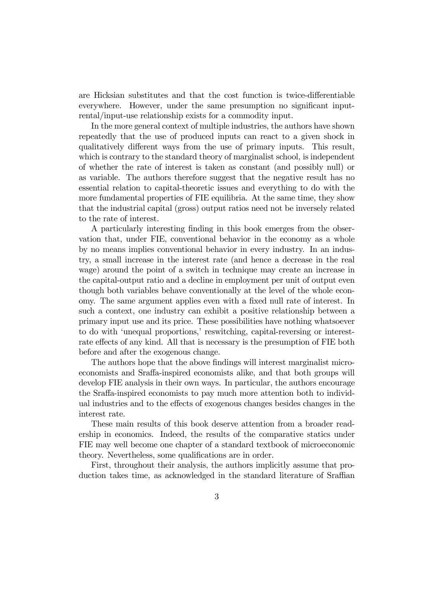are Hicksian substitutes and that the cost function is twice-differentiable everywhere. However, under the same presumption no significant inputrental/input-use relationship exists for a commodity input.

In the more general context of multiple industries, the authors have shown repeatedly that the use of produced inputs can react to a given shock in qualitatively different ways from the use of primary inputs. This result, which is contrary to the standard theory of marginalist school, is independent of whether the rate of interest is taken as constant (and possibly null) or as variable. The authors therefore suggest that the negative result has no essential relation to capital-theoretic issues and everything to do with the more fundamental properties of FIE equilibria. At the same time, they show that the industrial capital (gross) output ratios need not be inversely related to the rate of interest.

A particularly interesting finding in this book emerges from the observation that, under FIE, conventional behavior in the economy as a whole by no means implies conventional behavior in every industry. In an industry, a small increase in the interest rate (and hence a decrease in the real wage) around the point of a switch in technique may create an increase in the capital-output ratio and a decline in employment per unit of output even though both variables behave conventionally at the level of the whole economy. The same argument applies even with a fixed null rate of interest. In such a context, one industry can exhibit a positive relationship between a primary input use and its price. These possibilities have nothing whatsoever to do with 'unequal proportions,' reswitching, capital-reversing or interestrate effects of any kind. All that is necessary is the presumption of FIE both before and after the exogenous change.

The authors hope that the above findings will interest marginalist microeconomists and Sraffa-inspired economists alike, and that both groups will develop FIE analysis in their own ways. In particular, the authors encourage the Sraffa-inspired economists to pay much more attention both to individual industries and to the effects of exogenous changes besides changes in the interest rate.

These main results of this book deserve attention from a broader readership in economics. Indeed, the results of the comparative statics under FIE may well become one chapter of a standard textbook of microeconomic theory. Nevertheless, some qualifications are in order.

First, throughout their analysis, the authors implicitly assume that production takes time, as acknowledged in the standard literature of Sraffian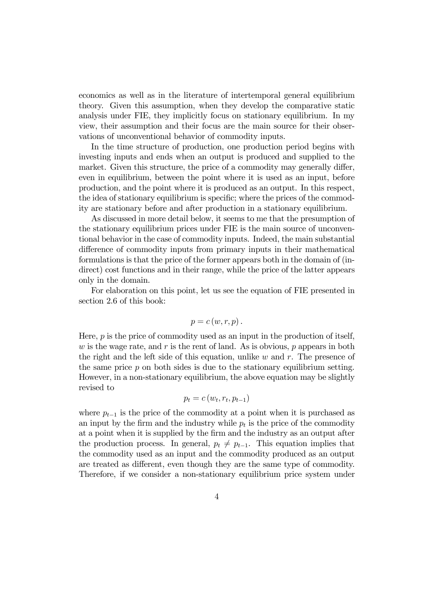economics as well as in the literature of intertemporal general equilibrium theory. Given this assumption, when they develop the comparative static analysis under FIE, they implicitly focus on stationary equilibrium. In my view, their assumption and their focus are the main source for their observations of unconventional behavior of commodity inputs.

In the time structure of production, one production period begins with investing inputs and ends when an output is produced and supplied to the market. Given this structure, the price of a commodity may generally differ, even in equilibrium, between the point where it is used as an input, before production, and the point where it is produced as an output. In this respect, the idea of stationary equilibrium is specific; where the prices of the commodity are stationary before and after production in a stationary equilibrium.

As discussed in more detail below, it seems to me that the presumption of the stationary equilibrium prices under FIE is the main source of unconventional behavior in the case of commodity inputs. Indeed, the main substantial difference of commodity inputs from primary inputs in their mathematical formulations is that the price of the former appears both in the domain of (indirect) cost functions and in their range, while the price of the latter appears only in the domain.

For elaboration on this point, let us see the equation of FIE presented in section 2.6 of this book:

$$
p = c(w, r, p).
$$

Here,  $p$  is the price of commodity used as an input in the production of itself, w is the wage rate, and r is the rent of land. As is obvious,  $p$  appears in both the right and the left side of this equation, unlike  $w$  and  $r$ . The presence of the same price  $p$  on both sides is due to the stationary equilibrium setting. However, in a non-stationary equilibrium, the above equation may be slightly revised to

$$
p_t = c(w_t, r_t, p_{t-1})
$$

where  $p_{t-1}$  is the price of the commodity at a point when it is purchased as an input by the firm and the industry while  $p_t$  is the price of the commodity at a point when it is supplied by the firm and the industry as an output after the production process. In general,  $p_t \neq p_{t-1}$ . This equation implies that the commodity used as an input and the commodity produced as an output are treated as different, even though they are the same type of commodity. Therefore, if we consider a non-stationary equilibrium price system under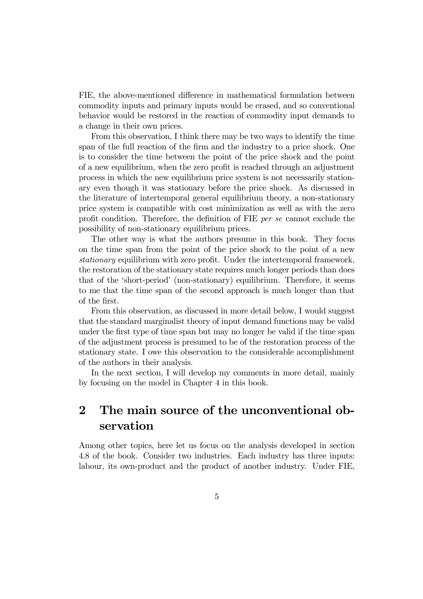FIE, the above-mentioned difference in mathematical formulation between commodity inputs and primary inputs would be erased, and so conventional behavior would be restored in the reaction of commodity input demands to a change in their own prices.

From this observation, I think there may be two ways to identify the time span of the full reaction of the firm and the industry to a price shock. One is to consider the time between the point of the price shock and the point of a new equilibrium, when the zero profit is reached through an adjustment process in which the new equilibrium price system is not necessarily stationary even though it was stationary before the price shock. As discussed in the literature of intertemporal general equilibrium theory, a non-stationary price system is compatible with cost minimization as well as with the zero profit condition. Therefore, the definition of FIE per se cannot exclude the possibility of non-stationary equilibrium prices.

The other way is what the authors presume in this book. They focus on the time span from the point of the price shock to the point of a new stationary equilibrium with zero profit. Under the intertemporal framework, the restoration of the stationary state requires much longer periods than does that of the 'short-period' (non-stationary) equilibrium. Therefore, it seems to me that the time span of the second approach is much longer than that of the first.

From this observation, as discussed in more detail below, I would suggest that the standard marginalist theory of input demand functions may be valid under the first type of time span but may no longer be valid if the time span of the adjustment process is presumed to be of the restoration process of the stationary state. I owe this observation to the considerable accomplishment of the authors in their analysis.

In the next section, I will develop my comments in more detail, mainly by focusing on the model in Chapter 4 in this book.

## 2 The main source of the unconventional observation

Among other topics, here let us focus on the analysis developed in section 4.8 of the book. Consider two industries. Each industry has three inputs: labour, its own-product and the product of another industry. Under FIE,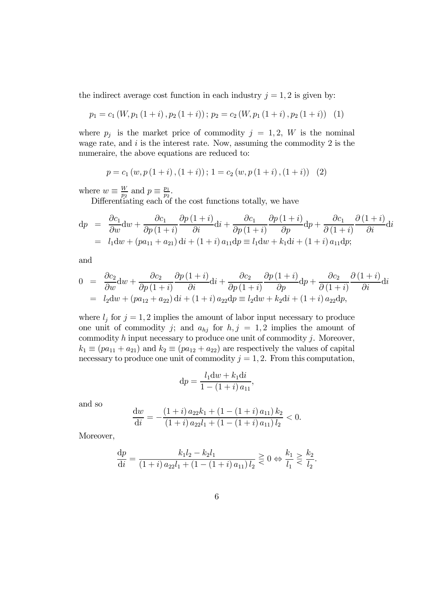the indirect average cost function in each industry  $j = 1, 2$  is given by:

$$
p_1 = c_1(W, p_1(1+i), p_2(1+i)); p_2 = c_2(W, p_1(1+i), p_2(1+i)) \quad (1)
$$

where  $p_j$  is the market price of commodity  $j = 1, 2, W$  is the nominal wage rate, and  $i$  is the interest rate. Now, assuming the commodity 2 is the numeraire, the above equations are reduced to:

$$
p = c_1(w, p(1+i), (1+i)); 1 = c_2(w, p(1+i), (1+i)) \quad (2)
$$

where  $w \equiv \frac{W}{p_2}$  and  $p \equiv \frac{p_1}{p_2}$ .

Differentiating each of the cost functions totally, we have

$$
dp = \frac{\partial c_1}{\partial w} dw + \frac{\partial c_1}{\partial p (1+i)} \frac{\partial p (1+i)}{\partial i} di + \frac{\partial c_1}{\partial p (1+i)} \frac{\partial p (1+i)}{\partial p} dp + \frac{\partial c_1}{\partial (1+i)} \frac{\partial (1+i)}{\partial i} di
$$
  
=  $l_1 dw + (pa_{11} + a_{21}) di + (1+i) a_{11} dp \equiv l_1 dw + k_1 di + (1+i) a_{11} dp;$ 

and

$$
0 = \frac{\partial c_2}{\partial w} dw + \frac{\partial c_2}{\partial p (1+i)} \frac{\partial p (1+i)}{\partial i} di + \frac{\partial c_2}{\partial p (1+i)} \frac{\partial p (1+i)}{\partial p} dp + \frac{\partial c_2}{\partial (1+i)} \frac{\partial (1+i)}{\partial i} di
$$
  
=  $l_2 dw + (p a_{12} + a_{22}) di + (1+i) a_{22} dp \equiv l_2 dw + k_2 di + (1+i) a_{22} dp,$ 

where  $l_j$  for  $j = 1, 2$  implies the amount of labor input necessary to produce one unit of commodity j; and  $a_{hj}$  for  $h, j = 1, 2$  implies the amount of commodity  $h$  input necessary to produce one unit of commodity  $j$ . Moreover,  $k_1 \equiv (pa_{11} + a_{21})$  and  $k_2 \equiv (pa_{12} + a_{22})$  are respectively the values of capital necessary to produce one unit of commodity  $j = 1, 2$ . From this computation,

$$
dp = \frac{l_1 dw + k_1 di}{1 - (1 + i) a_{11}},
$$

and so

$$
\frac{\mathrm{d}w}{\mathrm{d}i} = -\frac{(1+i) a_{22} k_1 + (1 - (1+i) a_{11}) k_2}{(1+i) a_{22} l_1 + (1 - (1+i) a_{11}) l_2} < 0.
$$

Moreover,

$$
\frac{dp}{di} = \frac{k_1 l_2 - k_2 l_1}{(1+i) a_{22} l_1 + (1 - (1+i) a_{11}) l_2} \gtrless 0 \Leftrightarrow \frac{k_1}{l_1} \gtrless \frac{k_2}{l_2}.
$$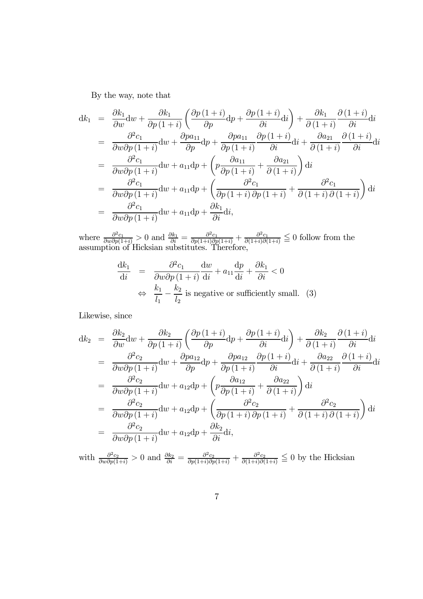By the way, note that

$$
dk_1 = \frac{\partial k_1}{\partial w} dw + \frac{\partial k_1}{\partial p (1+i)} \left( \frac{\partial p (1+i)}{\partial p} dp + \frac{\partial p (1+i)}{\partial i} di \right) + \frac{\partial k_1}{\partial (1+i)} \frac{\partial (1+i)}{\partial i} di
$$
  
\n
$$
= \frac{\partial^2 c_1}{\partial w \partial p (1+i)} dw + \frac{\partial p a_{11}}{\partial p} dp + \frac{\partial p a_{11}}{\partial p (1+i)} \frac{\partial p (1+i)}{\partial i} di + \frac{\partial a_{21}}{\partial (1+i)} \frac{\partial (1+i)}{\partial i} di
$$
  
\n
$$
= \frac{\partial^2 c_1}{\partial w \partial p (1+i)} dw + a_{11} dp + \left( p \frac{\partial a_{11}}{\partial p (1+i)} + \frac{\partial a_{21}}{\partial (1+i)} \right) di
$$
  
\n
$$
= \frac{\partial^2 c_1}{\partial w \partial p (1+i)} dw + a_{11} dp + \left( \frac{\partial^2 c_1}{\partial p (1+i)} + \frac{\partial^2 c_1}{\partial (1+i)} \right) di
$$
  
\n
$$
= \frac{\partial^2 c_1}{\partial w \partial p (1+i)} dw + a_{11} dp + \frac{\partial k_1}{\partial i} di,
$$

where  $\frac{\partial^2 c_1}{\partial w \partial p(1+i)} > 0$  and  $\frac{\partial k_1}{\partial i} = \frac{\partial^2 c_1}{\partial p(1+i) \partial p(1+i)} + \frac{\partial^2 c_1}{\partial (1+i) \partial (1+i)} \leq 0$  follow from the assumption of Hicksian substitutes. Therefore,

$$
\frac{dk_1}{di} = \frac{\partial^2 c_1}{\partial w \partial p (1+i)} \frac{dw}{di} + a_{11} \frac{dp}{di} + \frac{\partial k_1}{\partial i} < 0
$$
  
\n
$$
\Leftrightarrow \frac{k_1}{l_1} - \frac{k_2}{l_2} \text{ is negative or sufficiently small.}
$$
 (3)

Likewise, since

$$
dk_2 = \frac{\partial k_2}{\partial w} dw + \frac{\partial k_2}{\partial p (1+i)} \left( \frac{\partial p (1+i)}{\partial p} dp + \frac{\partial p (1+i)}{\partial i} di \right) + \frac{\partial k_2}{\partial (1+i)} \frac{\partial (1+i)}{\partial i} di = \frac{\partial^2 c_2}{\partial w \partial p (1+i)} dw + \frac{\partial p a_{12}}{\partial p} dp + \frac{\partial p a_{12}}{\partial p (1+i)} \frac{\partial p (1+i)}{\partial i} di + \frac{\partial a_{22}}{\partial (1+i)} \frac{\partial (1+i)}{\partial i} di = \frac{\partial^2 c_2}{\partial w \partial p (1+i)} dw + a_{12} dp + \left( p \frac{\partial a_{12}}{\partial p (1+i)} + \frac{\partial a_{22}}{\partial (1+i)} \right) di = \frac{\partial^2 c_2}{\partial w \partial p (1+i)} dw + a_{12} dp + \left( \frac{\partial^2 c_2}{\partial p (1+i)} \frac{\partial^2 c_2}{\partial p (1+i)} + \frac{\partial^2 c_2}{\partial (1+i)} \frac{\partial^2 c_2}{\partial (1+i)} \right) di = \frac{\partial^2 c_2}{\partial w \partial p (1+i)} dw + a_{12} dp + \frac{\partial k_2}{\partial i} di,
$$

with  $\frac{\partial^2 c_2}{\partial w \partial p(1+i)} > 0$  and  $\frac{\partial k_2}{\partial i} = \frac{\partial^2 c_2}{\partial p(1+i) \partial p(1+i)} + \frac{\partial^2 c_2}{\partial (1+i) \partial (1+i)} \leq 0$  by the Hicksian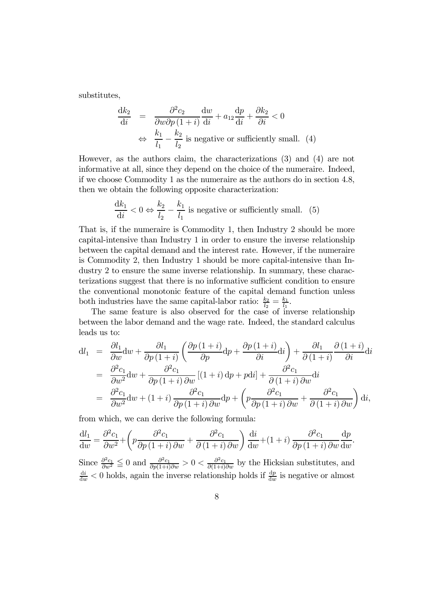substitutes,

$$
\frac{dk_2}{di} = \frac{\partial^2 c_2}{\partial w \partial p (1+i)} \frac{dw}{di} + a_{12} \frac{dp}{di} + \frac{\partial k_2}{\partial i} < 0
$$
  
\n
$$
\Leftrightarrow \frac{k_1}{l_1} - \frac{k_2}{l_2} \text{ is negative or sufficiently small. } (4)
$$

However, as the authors claim, the characterizations (3) and (4) are not informative at all, since they depend on the choice of the numeraire. Indeed, if we choose Commodity 1 as the numeraire as the authors do in section 4.8, then we obtain the following opposite characterization:

$$
\frac{dk_1}{di} < 0 \Leftrightarrow \frac{k_2}{l_2} - \frac{k_1}{l_1} \text{ is negative or sufficiently small. } (5)
$$

That is, if the numeraire is Commodity 1, then Industry 2 should be more capital-intensive than Industry 1 in order to ensure the inverse relationship between the capital demand and the interest rate. However, if the numeraire is Commodity 2, then Industry 1 should be more capital-intensive than Industry 2 to ensure the same inverse relationship. In summary, these characterizations suggest that there is no informative sufficient condition to ensure the conventional monotonic feature of the capital demand function unless both industries have the same capital-labor ratio:  $\frac{k_2}{l_2} = \frac{k_1}{l_1}$ .

The same feature is also observed for the case of inverse relationship between the labor demand and the wage rate. Indeed, the standard calculus leads us to:

$$
dl_1 = \frac{\partial l_1}{\partial w} dw + \frac{\partial l_1}{\partial p (1+i)} \left( \frac{\partial p (1+i)}{\partial p} dp + \frac{\partial p (1+i)}{\partial i} di \right) + \frac{\partial l_1}{\partial (1+i)} \frac{\partial (1+i)}{\partial i} di
$$
  
\n
$$
= \frac{\partial^2 c_1}{\partial w^2} dw + \frac{\partial^2 c_1}{\partial p (1+i)} \frac{[ (1+i) dp + pdi ] + \frac{\partial^2 c_1}{\partial (1+i)} \frac{\partial^2 c_1}{\partial w} di
$$
  
\n
$$
= \frac{\partial^2 c_1}{\partial w^2} dw + (1+i) \frac{\partial^2 c_1}{\partial p (1+i)} \frac{\partial^2 c_1}{\partial w} dp + \left( p \frac{\partial^2 c_1}{\partial p (1+i)} \frac{\partial^2 c_1}{\partial w} + \frac{\partial^2 c_1}{\partial (1+i)} \frac{\partial^2 c_1}{\partial w} \right) di,
$$

from which, we can derive the following formula:

$$
\frac{dl_1}{dw} = \frac{\partial^2 c_1}{\partial w^2} + \left( p \frac{\partial^2 c_1}{\partial p (1+i) \partial w} + \frac{\partial^2 c_1}{\partial (1+i) \partial w} \right) \frac{di}{dw} + (1+i) \frac{\partial^2 c_1}{\partial p (1+i) \partial w} \frac{dp}{dw}.
$$
  
Since  $\frac{\partial^2 c_1}{\partial w^2} \le 0$  and  $\frac{\partial^2 c_1}{\partial p (1+i) \partial w} > 0 < \frac{\partial^2 c_1}{\partial (1+i) \partial w}$  by the Hicksian substitutes, and  $\frac{d^i}{dw} < 0$  holds, again the inverse relationship holds if  $\frac{dp}{dw}$  is negative or almost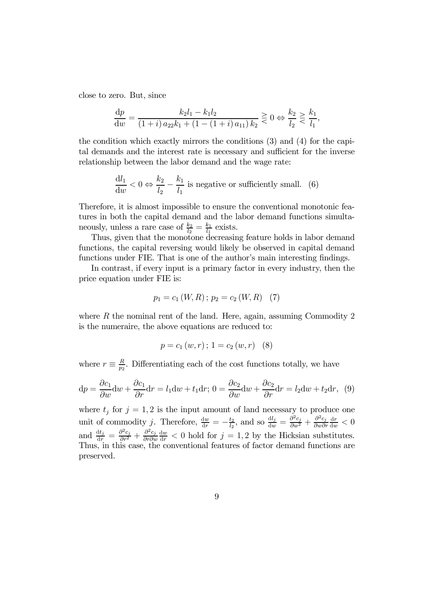close to zero. But, since

$$
\frac{dp}{dw} = \frac{k_2 l_1 - k_1 l_2}{(1+i) a_{22} k_1 + (1 - (1+i) a_{11}) k_2} \geq 0 \Leftrightarrow \frac{k_2}{l_2} \geq \frac{k_1}{l_1},
$$

the condition which exactly mirrors the conditions (3) and (4) for the capital demands and the interest rate is necessary and sufficient for the inverse relationship between the labor demand and the wage rate:

$$
\frac{dl_1}{dw} < 0 \Leftrightarrow \frac{k_2}{l_2} - \frac{k_1}{l_1}
$$
 is negative or sufficiently small. (6)

Therefore, it is almost impossible to ensure the conventional monotonic features in both the capital demand and the labor demand functions simultaneously, unless a rare case of  $\frac{k_2}{l_2} = \frac{k_1}{l_1}$  exists.

Thus, given that the monotone decreasing feature holds in labor demand functions, the capital reversing would likely be observed in capital demand functions under FIE. That is one of the author's main interesting findings.

In contrast, if every input is a primary factor in every industry, then the price equation under FIE is:

$$
p_1 = c_1(W, R); p_2 = c_2(W, R) \quad (7)
$$

where  $R$  the nominal rent of the land. Here, again, assuming Commodity 2 is the numeraire, the above equations are reduced to:

$$
p = c_1(w, r); 1 = c_2(w, r) \quad (8)
$$

where  $r \equiv \frac{R}{p_2}$ . Differentiating each of the cost functions totally, we have

$$
dp = \frac{\partial c_1}{\partial w} dw + \frac{\partial c_1}{\partial r} dr = l_1 dw + t_1 dr; 0 = \frac{\partial c_2}{\partial w} dw + \frac{\partial c_2}{\partial r} dr = l_2 dw + t_2 dr, (9)
$$

where  $t_j$  for  $j = 1, 2$  is the input amount of land necessary to produce one unit of commodity j. Therefore,  $\frac{dw}{dr} = -\frac{t_2}{l_2}$ , and so  $\frac{dl_j}{dw} = \frac{\partial^2 c_j}{\partial w^2} + \frac{\partial^2 c_j}{\partial w \partial r}$  $\frac{\mathrm{d}r}{\mathrm{d}w}<0$ and  $\frac{dt_j}{dr} = \frac{\partial^2 c_j}{\partial r^2} + \frac{\partial^2 c_j}{\partial r \partial w}$  $\frac{dw}{dr}$  < 0 hold for  $j = 1, 2$  by the Hicksian substitutes. Thus, in this case, the conventional features of factor demand functions are preserved.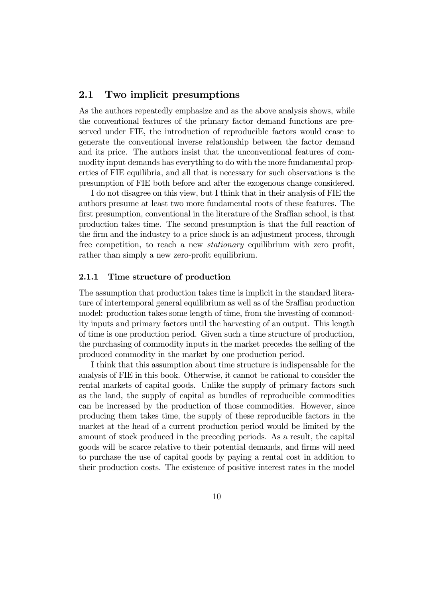#### 2.1 Two implicit presumptions

As the authors repeatedly emphasize and as the above analysis shows, while the conventional features of the primary factor demand functions are preserved under FIE, the introduction of reproducible factors would cease to generate the conventional inverse relationship between the factor demand and its price. The authors insist that the unconventional features of commodity input demands has everything to do with the more fundamental properties of FIE equilibria, and all that is necessary for such observations is the presumption of FIE both before and after the exogenous change considered.

I do not disagree on this view, but I think that in their analysis of FIE the authors presume at least two more fundamental roots of these features. The first presumption, conventional in the literature of the Sraffian school, is that production takes time. The second presumption is that the full reaction of the firm and the industry to a price shock is an adjustment process, through free competition, to reach a new *stationary* equilibrium with zero profit, rather than simply a new zero-profit equilibrium.

#### 2.1.1 Time structure of production

The assumption that production takes time is implicit in the standard literature of intertemporal general equilibrium as well as of the Sraffian production model: production takes some length of time, from the investing of commodity inputs and primary factors until the harvesting of an output. This length of time is one production period. Given such a time structure of production, the purchasing of commodity inputs in the market precedes the selling of the produced commodity in the market by one production period.

I think that this assumption about time structure is indispensable for the analysis of FIE in this book. Otherwise, it cannot be rational to consider the rental markets of capital goods. Unlike the supply of primary factors such as the land, the supply of capital as bundles of reproducible commodities can be increased by the production of those commodities. However, since producing them takes time, the supply of these reproducible factors in the market at the head of a current production period would be limited by the amount of stock produced in the preceding periods. As a result, the capital goods will be scarce relative to their potential demands, and firms will need to purchase the use of capital goods by paying a rental cost in addition to their production costs. The existence of positive interest rates in the model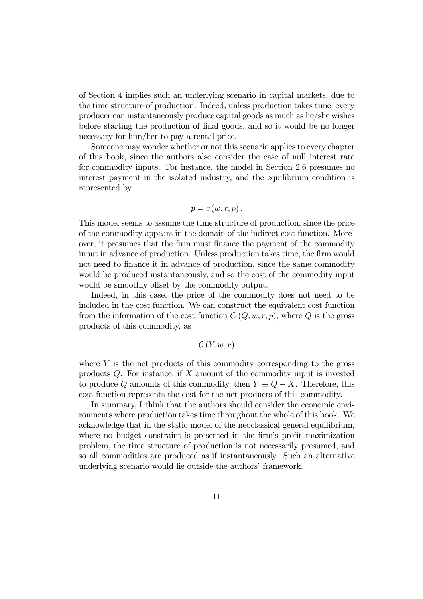of Section 4 implies such an underlying scenario in capital markets, due to the time structure of production. Indeed, unless production takes time, every producer can instantaneously produce capital goods as much as he/she wishes before starting the production of final goods, and so it would be no longer necessary for him/her to pay a rental price.

Someone may wonder whether or not this scenario applies to every chapter of this book, since the authors also consider the case of null interest rate for commodity inputs. For instance, the model in Section 2.6 presumes no interest payment in the isolated industry, and the equilibrium condition is represented by

$$
p = c(w, r, p).
$$

This model seems to assume the time structure of production, since the price of the commodity appears in the domain of the indirect cost function. Moreover, it presumes that the firm must finance the payment of the commodity input in advance of production. Unless production takes time, the firm would not need to finance it in advance of production, since the same commodity would be produced instantaneously, and so the cost of the commodity input would be smoothly offset by the commodity output.

Indeed, in this case, the price of the commodity does not need to be included in the cost function. We can construct the equivalent cost function from the information of the cost function  $C(Q, w, r, p)$ , where Q is the gross products of this commodity, as

$$
\mathcal{C}\left(Y,w,r\right)
$$

where  $Y$  is the net products of this commodity corresponding to the gross products  $Q$ . For instance, if  $X$  amount of the commodity input is invested to produce Q amounts of this commodity, then  $Y \equiv Q - X$ . Therefore, this cost function represents the cost for the net products of this commodity.

In summary, I think that the authors should consider the economic environments where production takes time throughout the whole of this book. We acknowledge that in the static model of the neoclassical general equilibrium, where no budget constraint is presented in the firm's profit maximization problem, the time structure of production is not necessarily presumed, and so all commodities are produced as if instantaneously. Such an alternative underlying scenario would lie outside the authors' framework.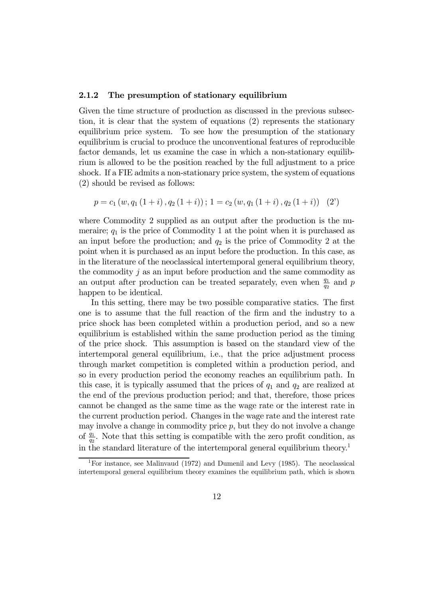#### 2.1.2 The presumption of stationary equilibrium

Given the time structure of production as discussed in the previous subsection, it is clear that the system of equations (2) represents the stationary equilibrium price system. To see how the presumption of the stationary equilibrium is crucial to produce the unconventional features of reproducible factor demands, let us examine the case in which a non-stationary equilibrium is allowed to be the position reached by the full adjustment to a price shock. If a FIE admits a non-stationary price system, the system of equations (2) should be revised as follows:

$$
p = c_1(w, q_1(1+i), q_2(1+i)); 1 = c_2(w, q_1(1+i), q_2(1+i))
$$
 (2)

where Commodity 2 supplied as an output after the production is the numeraire;  $q_1$  is the price of Commodity 1 at the point when it is purchased as an input before the production; and  $q_2$  is the price of Commodity 2 at the point when it is purchased as an input before the production. In this case, as in the literature of the neoclassical intertemporal general equilibrium theory, the commodity  $j$  as an input before production and the same commodity as an output after production can be treated separately, even when  $\frac{q_1}{q_2}$  and p happen to be identical.

In this setting, there may be two possible comparative statics. The first one is to assume that the full reaction of the firm and the industry to a price shock has been completed within a production period, and so a new equilibrium is established within the same production period as the timing of the price shock. This assumption is based on the standard view of the intertemporal general equilibrium, i.e., that the price adjustment process through market competition is completed within a production period, and so in every production period the economy reaches an equilibrium path. In this case, it is typically assumed that the prices of  $q_1$  and  $q_2$  are realized at the end of the previous production period; and that, therefore, those prices cannot be changed as the same time as the wage rate or the interest rate in the current production period. Changes in the wage rate and the interest rate may involve a change in commodity price  $p$ , but they do not involve a change of  $\frac{q_1}{q_2}$ . Note that this setting is compatible with the zero profit condition, as in the standard literature of the intertemporal general equilibrium theory.1

<sup>&</sup>lt;sup>1</sup>For instance, see Malinvaud (1972) and Dumenil and Levy (1985). The neoclassical intertemporal general equilibrium theory examines the equilibrium path, which is shown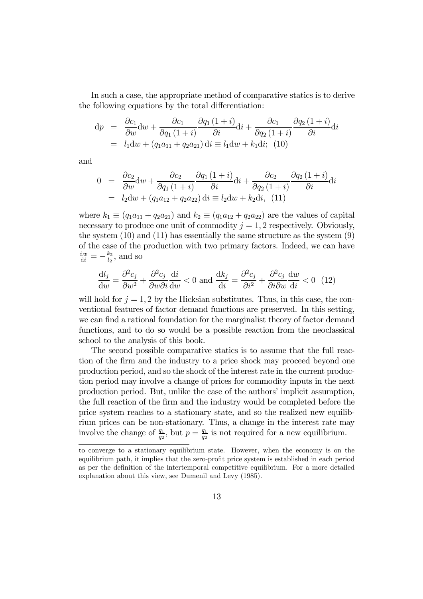In such a case, the appropriate method of comparative statics is to derive the following equations by the total differentiation:

$$
dp = \frac{\partial c_1}{\partial w} dw + \frac{\partial c_1}{\partial q_1 (1+i)} \frac{\partial q_1 (1+i)}{\partial i} di + \frac{\partial c_1}{\partial q_2 (1+i)} \frac{\partial q_2 (1+i)}{\partial i} di
$$
  
=  $l_1 dw + (q_1 a_{11} + q_2 a_{21}) di \equiv l_1 dw + k_1 di$ ; (10)

and

$$
0 = \frac{\partial c_2}{\partial w} dw + \frac{\partial c_2}{\partial q_1 (1+i)} \frac{\partial q_1 (1+i)}{\partial i} di + \frac{\partial c_2}{\partial q_2 (1+i)} \frac{\partial q_2 (1+i)}{\partial i} di
$$
  
=  $l_2 dw + (q_1 a_{12} + q_2 a_{22}) di \equiv l_2 dw + k_2 di, (11)$ 

where  $k_1 \equiv (q_1a_{11} + q_2a_{21})$  and  $k_2 \equiv (q_1a_{12} + q_2a_{22})$  are the values of capital necessary to produce one unit of commodity  $j = 1, 2$  respectively. Obviously, the system  $(10)$  and  $(11)$  has essentially the same structure as the system  $(9)$ of the case of the production with two primary factors. Indeed, we can have  $\frac{dw}{di} = -\frac{k_2}{l_2}$ , and so

$$
\frac{dl_j}{dw} = \frac{\partial^2 c_j}{\partial w^2} + \frac{\partial^2 c_j}{\partial w \partial i} \frac{di}{dw} < 0 \text{ and } \frac{dk_j}{di} = \frac{\partial^2 c_j}{\partial i^2} + \frac{\partial^2 c_j}{\partial i \partial w} \frac{dw}{di} < 0 \tag{12}
$$

will hold for  $j = 1, 2$  by the Hicksian substitutes. Thus, in this case, the conventional features of factor demand functions are preserved. In this setting, we can find a rational foundation for the marginalist theory of factor demand functions, and to do so would be a possible reaction from the neoclassical school to the analysis of this book.

The second possible comparative statics is to assume that the full reaction of the firm and the industry to a price shock may proceed beyond one production period, and so the shock of the interest rate in the current production period may involve a change of prices for commodity inputs in the next production period. But, unlike the case of the authors' implicit assumption, the full reaction of the firm and the industry would be completed before the price system reaches to a stationary state, and so the realized new equilibrium prices can be non-stationary. Thus, a change in the interest rate may involve the change of  $\frac{q_1}{q_2}$ , but  $p = \frac{q_1}{q_2}$  is not required for a new equilibrium.

to converge to a stationary equilibrium state. However, when the economy is on the equilibrium path, it implies that the zero-profit price system is established in each period as per the definition of the intertemporal competitive equilibrium. For a more detailed explanation about this view, see Dumenil and Levy (1985).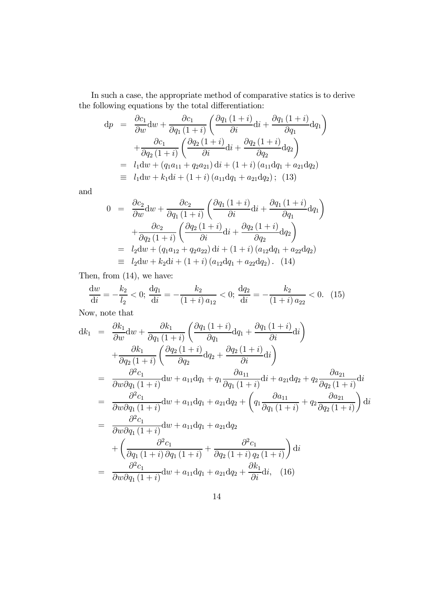In such a case, the appropriate method of comparative statics is to derive the following equations by the total differentiation:

$$
dp = \frac{\partial c_1}{\partial w} dw + \frac{\partial c_1}{\partial q_1 (1+i)} \left( \frac{\partial q_1 (1+i)}{\partial i} di + \frac{\partial q_1 (1+i)}{\partial q_1} dq_1 \right) + \frac{\partial c_1}{\partial q_2 (1+i)} \left( \frac{\partial q_2 (1+i)}{\partial i} di + \frac{\partial q_2 (1+i)}{\partial q_2} dq_2 \right) = l_1 dw + (q_1 a_{11} + q_2 a_{21}) di + (1+i) (a_{11} dq_1 + a_{21} dq_2) \equiv l_1 dw + k_1 di + (1+i) (a_{11} dq_1 + a_{21} dq_2); (13)
$$

and

$$
0 = \frac{\partial c_2}{\partial w} dw + \frac{\partial c_2}{\partial q_1 (1+i)} \left( \frac{\partial q_1 (1+i)}{\partial i} di + \frac{\partial q_1 (1+i)}{\partial q_1} dq_1 \right) + \frac{\partial c_2}{\partial q_2 (1+i)} \left( \frac{\partial q_2 (1+i)}{\partial i} di + \frac{\partial q_2 (1+i)}{\partial q_2} dq_2 \right) = l_2 dw + (q_1 a_{12} + q_2 a_{22}) di + (1+i) (a_{12} dq_1 + a_{22} dq_2) \equiv l_2 dw + k_2 di + (1+i) (a_{12} dq_1 + a_{22} dq_2). (14)
$$

Then, from (14), we have:

$$
\frac{dw}{di} = -\frac{k_2}{l_2} < 0; \frac{dq_1}{di} = -\frac{k_2}{(1+i)a_{12}} < 0; \frac{dq_2}{di} = -\frac{k_2}{(1+i)a_{22}} < 0. \tag{15}
$$

Now, note that

$$
dk_1 = \frac{\partial k_1}{\partial w} dw + \frac{\partial k_1}{\partial q_1 (1+i)} \left( \frac{\partial q_1 (1+i)}{\partial q_1} dq_1 + \frac{\partial q_1 (1+i)}{\partial i} dq \right)
$$
  
+ 
$$
\frac{\partial k_1}{\partial q_2 (1+i)} \left( \frac{\partial q_2 (1+i)}{\partial q_2} dq_2 + \frac{\partial q_2 (1+i)}{\partial i} dq \right)
$$
  
= 
$$
\frac{\partial^2 c_1}{\partial w \partial q_1 (1+i)} dw + a_{11} dq_1 + q_1 \frac{\partial a_{11}}{\partial q_1 (1+i)} dq + a_{21} dq_2 + q_2 \frac{\partial a_{21}}{\partial q_2 (1+i)} dq
$$
  
= 
$$
\frac{\partial^2 c_1}{\partial w \partial q_1 (1+i)} dw + a_{11} dq_1 + a_{21} dq_2 + \left( q_1 \frac{\partial a_{11}}{\partial q_1 (1+i)} + q_2 \frac{\partial a_{21}}{\partial q_2 (1+i)} \right) dq
$$
  
= 
$$
\frac{\partial^2 c_1}{\partial w \partial q_1 (1+i)} dw + a_{11} dq_1 + a_{21} dq_2
$$
  
+ 
$$
\left( \frac{\partial^2 c_1}{\partial q_1 (1+i)} dq_1 (1+i) + \frac{\partial^2 c_1}{\partial q_2 (1+i)} q_2 (1+i) \right) dq
$$
  
= 
$$
\frac{\partial^2 c_1}{\partial w \partial q_1 (1+i)} dw + a_{11} dq_1 + a_{21} dq_2 + \frac{\partial k_1}{\partial i} dq
$$
, (16)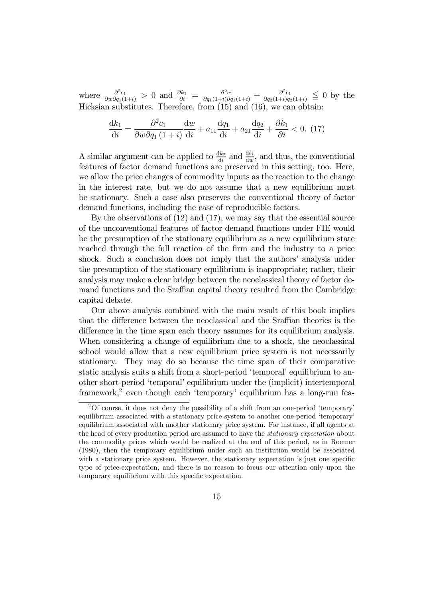where  $\frac{\partial^2 c_1}{\partial w \partial q_1(1+i)} > 0$  and  $\frac{\partial k_1}{\partial i} = \frac{\partial^2 c_1}{\partial q_1(1+i) \partial q_1(1+i)} + \frac{\partial^2 c_1}{\partial q_2(1+i) q_2(1+i)} \leq 0$  by the Hicksian substitutes. Therefore, from (15) and (16), we can obtain:

$$
\frac{\mathrm{d}k_1}{\mathrm{d}i} = \frac{\partial^2 c_1}{\partial w \partial q_1 (1+i)} \frac{\mathrm{d}w}{\mathrm{d}i} + a_{11} \frac{\mathrm{d}q_1}{\mathrm{d}i} + a_{21} \frac{\mathrm{d}q_2}{\mathrm{d}i} + \frac{\partial k_1}{\partial i} < 0. \tag{17}
$$

A similar argument can be applied to  $\frac{dk_2}{di}$  and  $\frac{dl_j}{dw}$ , and thus, the conventional features of factor demand functions are preserved in this setting, too. Here, we allow the price changes of commodity inputs as the reaction to the change in the interest rate, but we do not assume that a new equilibrium must be stationary. Such a case also preserves the conventional theory of factor demand functions, including the case of reproducible factors.

By the observations of (12) and (17), we may say that the essential source of the unconventional features of factor demand functions under FIE would be the presumption of the stationary equilibrium as a new equilibrium state reached through the full reaction of the firm and the industry to a price shock. Such a conclusion does not imply that the authors' analysis under the presumption of the stationary equilibrium is inappropriate; rather, their analysis may make a clear bridge between the neoclassical theory of factor demand functions and the Sraffian capital theory resulted from the Cambridge capital debate.

Our above analysis combined with the main result of this book implies that the difference between the neoclassical and the Sraffian theories is the difference in the time span each theory assumes for its equilibrium analysis. When considering a change of equilibrium due to a shock, the neoclassical school would allow that a new equilibrium price system is not necessarily stationary. They may do so because the time span of their comparative static analysis suits a shift from a short-period 'temporal' equilibrium to another short-period 'temporal' equilibrium under the (implicit) intertemporal framework,<sup>2</sup> even though each 'temporary' equilibrium has a long-run fea-

<sup>&</sup>lt;sup>2</sup>Of course, it does not deny the possibility of a shift from an one-period 'temporary' equilibrium associated with a stationary price system to another one-period 'temporary' equilibrium associated with another stationary price system. For instance, if all agents at the head of every production period are assumed to have the *stationary expectation* about the commodity prices which would be realized at the end of this period, as in Roemer (1980), then the temporary equilibrium under such an institution would be associated with a stationary price system. However, the stationary expectation is just one specific type of price-expectation, and there is no reason to focus our attention only upon the temporary equilibrium with this specific expectation.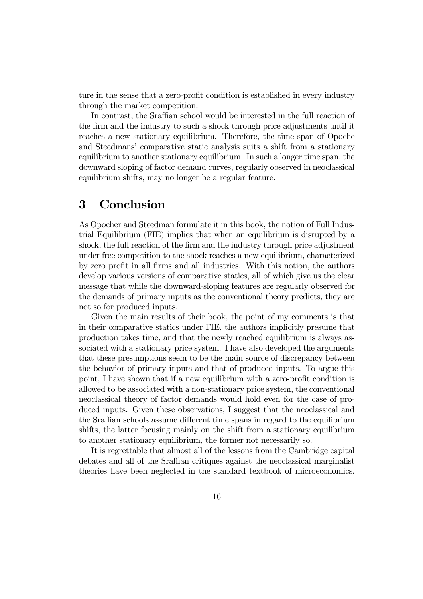ture in the sense that a zero-profit condition is established in every industry through the market competition.

In contrast, the Sraffian school would be interested in the full reaction of the firm and the industry to such a shock through price adjustments until it reaches a new stationary equilibrium. Therefore, the time span of Opoche and Steedmans' comparative static analysis suits a shift from a stationary equilibrium to another stationary equilibrium. In such a longer time span, the downward sloping of factor demand curves, regularly observed in neoclassical equilibrium shifts, may no longer be a regular feature.

## 3 Conclusion

As Opocher and Steedman formulate it in this book, the notion of Full Industrial Equilibrium (FIE) implies that when an equilibrium is disrupted by a shock, the full reaction of the firm and the industry through price adjustment under free competition to the shock reaches a new equilibrium, characterized by zero profit in all firms and all industries. With this notion, the authors develop various versions of comparative statics, all of which give us the clear message that while the downward-sloping features are regularly observed for the demands of primary inputs as the conventional theory predicts, they are not so for produced inputs.

Given the main results of their book, the point of my comments is that in their comparative statics under FIE, the authors implicitly presume that production takes time, and that the newly reached equilibrium is always associated with a stationary price system. I have also developed the arguments that these presumptions seem to be the main source of discrepancy between the behavior of primary inputs and that of produced inputs. To argue this point, I have shown that if a new equilibrium with a zero-profit condition is allowed to be associated with a non-stationary price system, the conventional neoclassical theory of factor demands would hold even for the case of produced inputs. Given these observations, I suggest that the neoclassical and the Sraffian schools assume different time spans in regard to the equilibrium shifts, the latter focusing mainly on the shift from a stationary equilibrium to another stationary equilibrium, the former not necessarily so.

It is regrettable that almost all of the lessons from the Cambridge capital debates and all of the Sraffian critiques against the neoclassical marginalist theories have been neglected in the standard textbook of microeconomics.